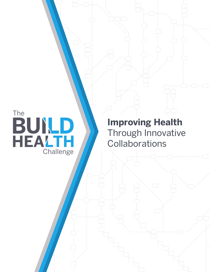The<br>BUND<br>HEALTH Challenge

**Improving Health**  Through Innovative **Collaborations**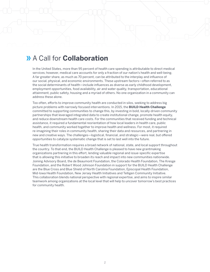## A Call for **Collaboration**

In the United States, more than 95 percent of health care spending is attributable to direct medical services; however, medical care accounts for only a fraction of our nation's health and well-being. A far greater share, as much as 70 percent, can be attributed to the interplay and influence of our social, physical, and economic environments. These upstream factors—often referred to as the social determinants of health—include influences as diverse as early childhood development, employment opportunities, food availability, air and water quality, transportation, educational attainment, public safety, housing and a myriad of others. No one organization in a community can address these alone.

Too often, efforts to improve community health are conducted in silos, seeking to address big picture problems with narrowly focused interventions. In 2015, the **BUILD Health Challenge** committed to supporting communities to change this, by investing in bold, locally-driven community partnerships that leveraged integrated data to create institutional change, promote health equity, and reduce downstream health care costs. For the communities that received funding and technical assistance, it required a fundamental reorientation of how local leaders in health care, public health, and community worked together to improve health and wellness. For most, it required re-imagining their roles in community health, sharing their data and resources, and partnering in new and creative ways. The challenges—logistical, financial, and strategic—were real, but offered opportunities to catalyze systematic change that is set to last well into the future.

True health transformation requires a broad network of national, state, and local support throughout the country. To that end, the BUILD Health Challenge is pleased to have new grantmaking organizations partnering in this effort, lending valuable regional and issue-specific expertise that is allowing this initiative to broaden its reach and impact into new communities nationwide. Joining Advisory Board, the de Beaumont Foundation, the Colorado Health Foundation, The Kresge Foundation, and the Robert Wood Johnson Foundation in support for the BUILD Health Challenge are the Blue Cross and Blue Shield of North Carolina Foundation, Episcopal Health Foundation, Mid-Iowa Health Foundation, New Jersey Health Initiatives and Telligen Community Initiative. This collaboration blends national perspective with regional expertise, and aims to inspire similar teamwork among organizations at the local level that will help to uncover tomorrow's best practices for community health.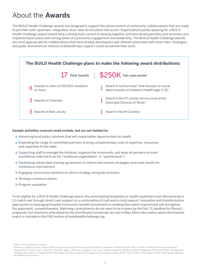# About the **Awards**

The BUILD Health Challenge awards are designed to support the advancement of community collaborations that are ready to put their bold, upstream, integrated, local, data-driven plans into action. Organizations jointly applying for a BUILD Health Challenge award should have a strong track record of working together and have developed their joint priorities and implementation plans with strong levels of community engagement and leadership. The BUILD Health Challenge awards are most appropriate for collaborations that have already developed a well-defined action plan with clear roles, strategies, and goals, and where an infusion of philanthropic support could accelerate their work.



#### **Sample activities covered could include, but are not limited to:**

- **»** Advancing local policy solutions that will create better opportunities for health
- Expanding the range of committed partners to bring complementary sets of expertise, resources, and capacities to the table
- Supporting staff to manage the initiative, organize the community, and keep all partners on track (sometimes referred to as the "backbone organization" or "quarterback")
- Developing robust data-sharing agreements to inform intervention strategies and track results for continuous improvement
- Engaging community members to inform strategy and guide activities
- **»** Strategic communications
- **»** Program evaluation

To be eligible for a BUILD Health Challenge award, the participating hospital(s) or health system(s) must demonstrate a 1:1 match met through direct cash support or a combination of cash and in-kind support. Innovative and transformative approaches to leveraging hospital community benefit investments in meeting the match requirement will strengthen the applicants' competitiveness. Matching commitments do not need to be in place by the Feb. 21 deadline for Round 1 proposals, but should be articulated by the time Round 2 proposals are due in May. More information about the hospital match is included in the FAQ section of buildhealthchallenge.org.

<sup>1</sup> Dallas, Polk, and Warren counties

<sup>&</sup>lt;sup>2</sup> Anderson, Angelina, Austin, Bastrop, Bell, Brazoria, Brazos, Burleson, Burnet, Chambers, Cherokee, Colorado, Coryell, Falls, Fayette, Fort Bend, Freestone, Galveston, Gregg, Grimes, Hardin, Harris, Harrison, Houston, Jasper, Jefferson, Lampasas, Lee, Leon, Liberty, Limestone, Madison, Marion, Matagorda, McLennan, Milam, Montgomery, Nacogdoches, Newton, Orange, Panola, Polk, Robertson, Rusk, Sabine, San Augustine, San Jacinto, Shelby, Smith, Travis, Trinity, Tyler, Walker, Waller, Washington, Wharton, and Williamson Counties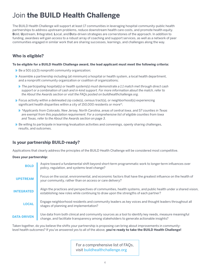# Join **the BUILD Health Challenge**

The BUILD Health Challenge will support at least 17 communities in leveraging hospital-community-public health partnerships to address upstream problems, reduce downstream health care costs, and promote health equity. **B**old, **U**pstream, **I**ntegrated, **L**ocal, and **D**ata-driven strategies are cornerstones of the approach. In addition to funding, awardees will gain access to a robust array of coaching and support services, as well as a network of peer communities engaged in similar work that are sharing successes, learnings, and challenges along the way.

### **Who is eligible?**

#### **To be eligible for a BUILD Health Challenge award, the lead applicant must meet the following criteria:**

- $\lambda$  Be a 501 (c)(3) nonprofit community organization;
- Assemble a partnership including (at minimum) a hospital or health system, a local health department, and a nonprofit community organization or coalition of organizations;
	- *The participating hospital(s) or health system(s) must demonstrate a 1:1 match met through direct cash support or a combination of cash and in-kind support. For more information about the match, refer to the About the Awards section or visit the FAQs posted on buildhealthchallenge.org.*
- $\lambda$  Focus activity within a delineated zip code(s), census tract(s), or neighborhood(s) experiencing significant health disparities within a city of 150,000 residents or more\*;
	- *\*Applicants from Colorado, New Jersey, North Carolina, areas of central Iowa, and 57 counties in Texas are exempt from this population requirement. For a comprehensive list of eligible counties from Iowa and Texas, refer to the About the Awards section on page 3.*
- **B** Be willing to participate in learning/evaluation activities and convenings, openly sharing challenges, results, and outcomes.

### **Is your partnership BUILD-ready?**

Applications that clearly address the principles of the BUILD Health Challenge will be considered most competitive.

#### **Does your partnership:**

| <b>BOLD</b>        | Aspire toward a fundamental shift beyond short-term programmatic work to longer-term influences over<br>policy, regulation, and systems-level change?                                                |
|--------------------|------------------------------------------------------------------------------------------------------------------------------------------------------------------------------------------------------|
| <b>UPSTREAM</b>    | Focus on the social, environmental, and economic factors that have the greatest influence on the health of<br>your community, rather than on access or care delivery?                                |
| <b>INTEGRATED</b>  | Align the practices and perspectives of communities, health systems, and public health under a shared vision,<br>establishing new roles while continuing to draw upon the strengths of each partner? |
| <b>LOCAL</b>       | Engage neighborhood residents and community leaders as key voices and thought leaders throughout all<br>stages of planning and implementation?                                                       |
| <b>DATA-DRIVEN</b> | Use data from both clinical and community sources as a tool to identify key needs, measure meaningful<br>change, and facilitate transparency among stakeholders to generate actionable insights?     |

Taken together, do you believe the shifts your partnership is proposing can bring about improvements in communitylevel health outcomes? If you've answered yes to all of the above, **you're ready to take the BUILD Health Challenge!**

> For a comprehensive list of FAQs, visit buildhealthchallenge.org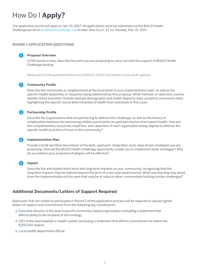# How Do I **Apply?**

The application portal will open on Jan. 10, 2017. All applications must be submitted via the BUILD Health Challenge portal at buildhealthchallenge.org no later than 5 p.m. ET on Tuesday, Feb. 21, 2017.

#### **ROUND 1 APPLICATION QUESTIONS**

#### **Proposal Overview**

1

In 100 words or less, describe the work you are proposing to carry out with the support of BUILD Health Challenge funding.

*Responses to the questions below are limited to 4,000 characters or less (with spaces).*

#### **Community Profile**  2

Describe the community or neighborhood at the focal point of your implementation plan, as well as the specific health disparities or inequities being addressed by this proposal. What methods or data were used to identify these priorities? Include relevant demographic and health disparity data, as well as community data, highlighting the specific social determinant(s) of health that contribute to this issue.

#### **Partnership Profile** 3

Describe the organizations that are partnering to address this challenge, as well as the history of collaboration between the partnering entities particularly on upstream factors that impact health. How are the complementary resources, expertise, and capacities of each organization being aligned to address the specific health priorities of focus in this community?

#### **Implementation Plan** 4

Provide a brief narrative description of the bold, upstream, integrated, local, data-driven strategies you are proposing. How will the BUILD Health Challenge opportunity enable you to implement these strategies? Why do you believe your proposed strategies will be effective?

#### **5** Impact

Describe the anticipated short-term and long-term impacts on your community, recognizing that the long-term impacts may be realized beyond the term of a two-year award period. What new learning may result from the implementation of this work that may be of value to other communities tackling similar challenges?

### **Additional Documents/Letters of Support Required**

Applicants that are invited to participate in Round 2 of the application process will be required to upload signed letters of support and commitment from the following key constituents:

- **»** Executive director of the lead nonprofit community-based organization (including a statement that affirms ability to be recipient of the funding)
- **»** CEO of the lead hospital or health system (including a statement that affirms commitment to match the \$250,000 award)
- Local health department official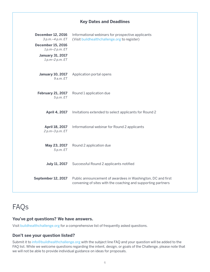### **Key Dates and Deadlines**

| <b>December 12, 2016</b><br>3 p.m. - 4 p.m. ET<br><b>December 15, 2016</b><br>1 p.m-2 p.m. ET<br><b>January 31, 2017</b><br>1p.m-2p.m. ET | Informational webinars for prospective applicants<br>(Visit buildhealthchallenge.org to register)                           |
|-------------------------------------------------------------------------------------------------------------------------------------------|-----------------------------------------------------------------------------------------------------------------------------|
| <b>January 10, 2017</b><br>9a.m. E T                                                                                                      | Application portal opens                                                                                                    |
| <b>February 21, 2017</b><br>5 p.m. E T                                                                                                    | Round 1 application due                                                                                                     |
| <b>April 4, 2017</b>                                                                                                                      | Invitations extended to select applicants for Round 2                                                                       |
| <b>April 18, 2017</b><br>2 p.m-3 p.m. ET                                                                                                  | Informational webinar for Round 2 applicants                                                                                |
| May 23, 2017<br>5 p.m. E T                                                                                                                | Round 2 application due                                                                                                     |
| <b>July 11, 2017</b>                                                                                                                      | Successful Round 2 applicants notified                                                                                      |
| September 12, 2017                                                                                                                        | Public announcement of awardees in Washington, DC and first<br>convening of sites with the coaching and supporting partners |

# FAQs

### **You've got questions? We have answers.**

Visit buildhealthchallenge.org for a comprehensive list of frequently asked questions.

### **Don't see your question listed?**

Submit it to info@buildhealthchallenge.org with the subject line FAQ and your question will be added to the FAQ list. While we welcome questions regarding the intent, design, or goals of the Challenge, please note that we will not be able to provide individual guidance on ideas for proposals.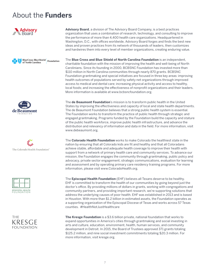# About the **Funders**



**BlueCross BlueShield Foundation** of North Carolina









**Advisory Board**, a division of The Advisory Board Company, is a best practices organization that uses a combination of research, technology, and consulting to improve the performance of more than 4,400 health care organizations. Headquartered in Washington, D.C., with offices worldwide, Advisory Board forges and finds the best new ideas and proven practices from its network of thousands of leaders, then customizes and hardwires them into every level of member organizations, creating enduring value.

The **Blue Cross and Blue Shield of North Carolina Foundation** is an independent, charitable foundation with the mission of improving the health and well-being of North Carolinians. Since its founding in 2000, BCBSNC Foundation has invested more than \$110 million in North Carolina communities through nearly 870 grants. BCBSNC Foundation grantmaking and special initiatives are focused in three key areas: improving health outcomes of populations served by safety net organizations through improved access to medical and dental care; increasing physical activity and access to healthy, local foods; and increasing the effectiveness of nonprofit organizations and their leaders. More information is available at www.bcbsncfoundation.org.

The **de Beaumont Foundation**'s mission is to transform public health in the United States by improving the effectiveness and capacity of local and state health departments. The de Beaumont Foundation believes that a strong public health system is essential. The Foundation works to transform the practice of public health through strategic and engaged grantmaking. Programs funded by the Foundation build the capacity and stature of the public health workforce, improve public health infrastructure, and advance the distribution and relevancy of information and data in the field. For more information, visit www.debeaumont.org.

The **Colorado Health Foundation** works to make Colorado the healthiest state in the nation by ensuring that all Colorado kids are fit and healthy and that all Coloradans achieve stable, affordable and adequate health coverage to improve their health with support from a network of primary health care and community services. To advance our mission, the Foundation engages the community through grantmaking, public policy and advocacy, private sector engagement, strategic communications, evaluation for learning and assessment and by operating primary care residency training programs. For more information, please visit www.ColoradoHealth.org.

The **Episcopal Health Foundation** (EHF) believes all Texans deserve to be healthy. EHF is committed to transform the health of our communities by going beyond just the doctor's office. By providing millions of dollars in grants, working with congregations and community partners, and providing important research, we're supporting solutions that address the underlying causes of poor health. EHF was established in 2013 and is based in Houston. With more than \$1.2 billion in estimated assets, the Foundation operates as a supporting organization of the Episcopal Diocese of Texas and works across 57 Texas counties. #HealthNotJustHealthcare

**The Kresge Foundation** is a \$3.6 billion private, national foundation that works to expand opportunities in America's cities through grantmaking and social investing in arts and culture, education, environment, health, human services, and community development in Detroit. In 2015, the Board of Trustees approved 371 grants totaling \$125.2 million, and nine social investment commitments totaling \$20.3 million. For more information, visit kresge.org.